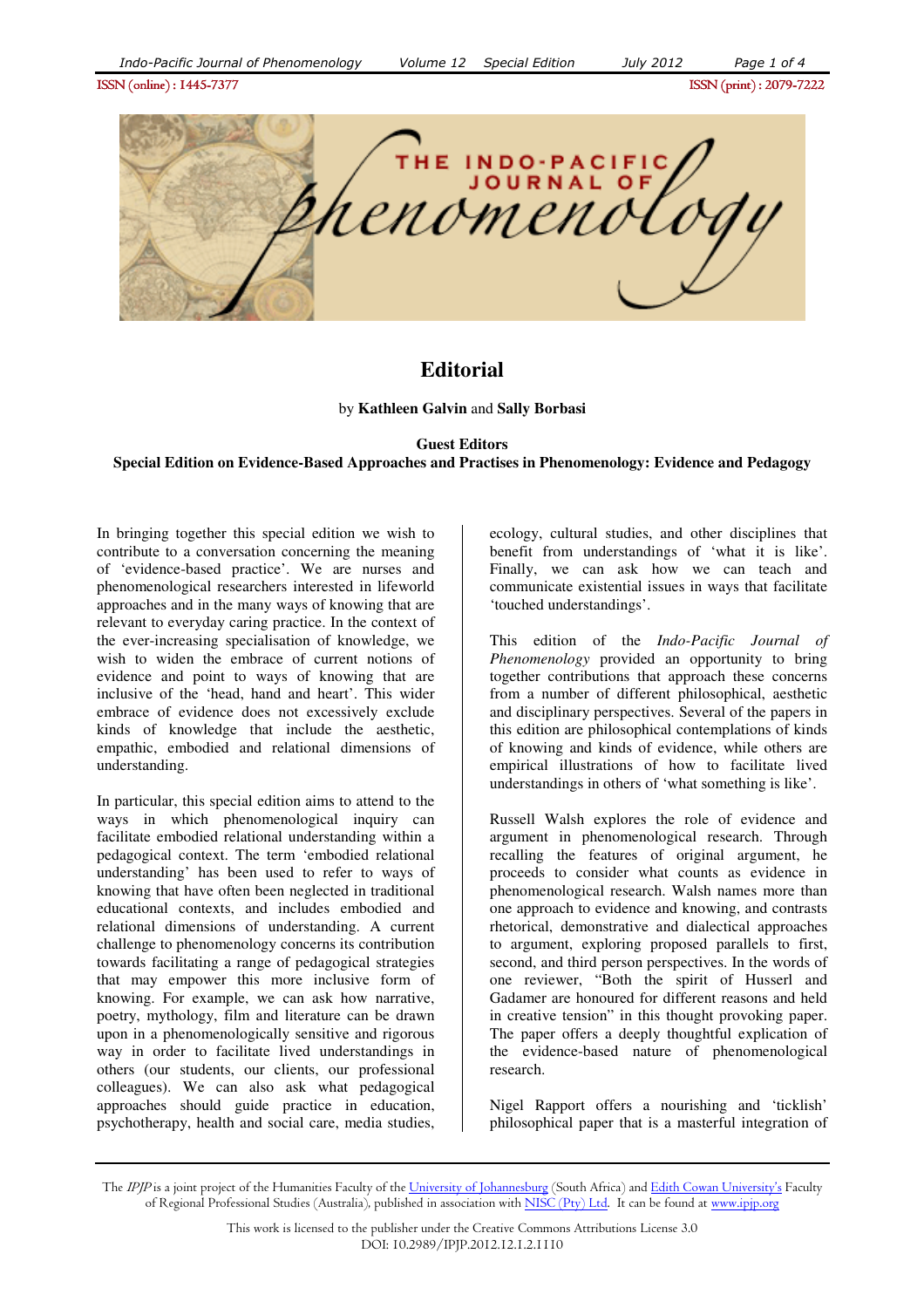

# **Editorial**

by **Kathleen Galvin** and **Sally Borbasi** 

**Guest Editors** 

## **Special Edition on Evidence-Based Approaches and Practises in Phenomenology: Evidence and Pedagogy**

In bringing together this special edition we wish to contribute to a conversation concerning the meaning of 'evidence-based practice'. We are nurses and phenomenological researchers interested in lifeworld approaches and in the many ways of knowing that are relevant to everyday caring practice. In the context of the ever-increasing specialisation of knowledge, we wish to widen the embrace of current notions of evidence and point to ways of knowing that are inclusive of the 'head, hand and heart'. This wider embrace of evidence does not excessively exclude kinds of knowledge that include the aesthetic, empathic, embodied and relational dimensions of understanding.

In particular, this special edition aims to attend to the ways in which phenomenological inquiry can facilitate embodied relational understanding within a pedagogical context. The term 'embodied relational understanding' has been used to refer to ways of knowing that have often been neglected in traditional educational contexts, and includes embodied and relational dimensions of understanding. A current challenge to phenomenology concerns its contribution towards facilitating a range of pedagogical strategies that may empower this more inclusive form of knowing. For example, we can ask how narrative, poetry, mythology, film and literature can be drawn upon in a phenomenologically sensitive and rigorous way in order to facilitate lived understandings in others (our students, our clients, our professional colleagues). We can also ask what pedagogical approaches should guide practice in education, psychotherapy, health and social care, media studies,

ecology, cultural studies, and other disciplines that benefit from understandings of 'what it is like'. Finally, we can ask how we can teach and communicate existential issues in ways that facilitate 'touched understandings'.

This edition of the *Indo-Pacific Journal of Phenomenology* provided an opportunity to bring together contributions that approach these concerns from a number of different philosophical, aesthetic and disciplinary perspectives. Several of the papers in this edition are philosophical contemplations of kinds of knowing and kinds of evidence, while others are empirical illustrations of how to facilitate lived understandings in others of 'what something is like'.

Russell Walsh explores the role of evidence and argument in phenomenological research. Through recalling the features of original argument, he proceeds to consider what counts as evidence in phenomenological research. Walsh names more than one approach to evidence and knowing, and contrasts rhetorical, demonstrative and dialectical approaches to argument, exploring proposed parallels to first, second, and third person perspectives. In the words of one reviewer, "Both the spirit of Husserl and Gadamer are honoured for different reasons and held in creative tension" in this thought provoking paper. The paper offers a deeply thoughtful explication of the evidence-based nature of phenomenological research.

Nigel Rapport offers a nourishing and 'ticklish' philosophical paper that is a masterful integration of

The *IPJP* is a joint project of the Humanities Faculty of the <u>University of Johannesburg</u> (South Africa) and <u>Edith Cowan University's</u> Faculty of Regional Professional Studies (Australia), published in association with <u>NISC (Pty) Ltd</u>. It can be found at <u>www.ipjp.org</u>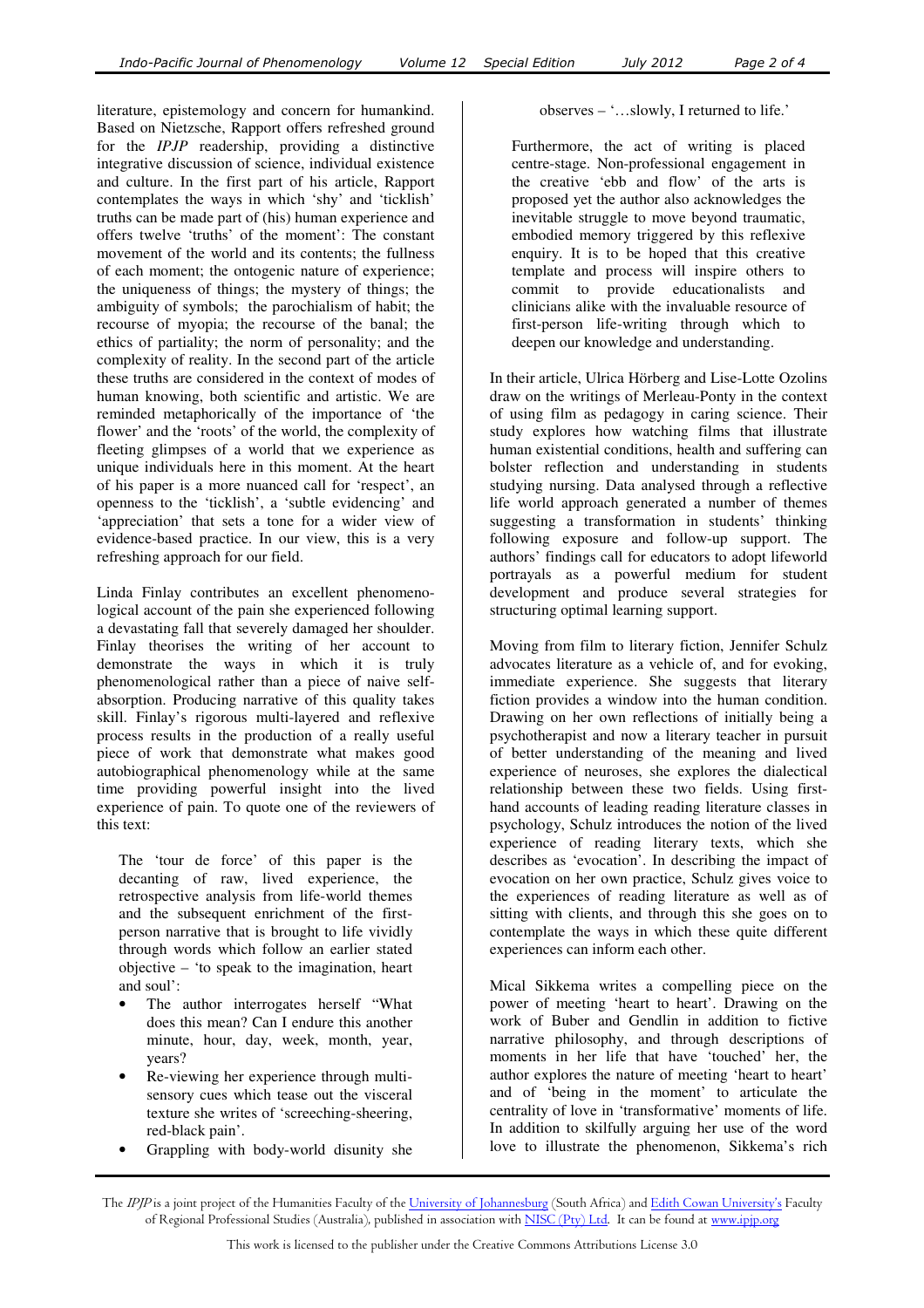literature, epistemology and concern for humankind. Based on Nietzsche, Rapport offers refreshed ground for the *IPJP* readership, providing a distinctive integrative discussion of science, individual existence and culture. In the first part of his article, Rapport contemplates the ways in which 'shy' and 'ticklish' truths can be made part of (his) human experience and offers twelve 'truths' of the moment': The constant movement of the world and its contents; the fullness of each moment; the ontogenic nature of experience; the uniqueness of things; the mystery of things; the ambiguity of symbols; the parochialism of habit; the recourse of myopia; the recourse of the banal; the ethics of partiality; the norm of personality; and the complexity of reality. In the second part of the article these truths are considered in the context of modes of human knowing, both scientific and artistic. We are reminded metaphorically of the importance of 'the flower' and the 'roots' of the world, the complexity of fleeting glimpses of a world that we experience as unique individuals here in this moment. At the heart of his paper is a more nuanced call for 'respect', an openness to the 'ticklish', a 'subtle evidencing' and 'appreciation' that sets a tone for a wider view of evidence-based practice. In our view, this is a very refreshing approach for our field.

Linda Finlay contributes an excellent phenomenological account of the pain she experienced following a devastating fall that severely damaged her shoulder. Finlay theorises the writing of her account to demonstrate the ways in which it is truly phenomenological rather than a piece of naive selfabsorption. Producing narrative of this quality takes skill. Finlay's rigorous multi-layered and reflexive process results in the production of a really useful piece of work that demonstrate what makes good autobiographical phenomenology while at the same time providing powerful insight into the lived experience of pain. To quote one of the reviewers of this text:

The 'tour de force' of this paper is the decanting of raw, lived experience, the retrospective analysis from life-world themes and the subsequent enrichment of the firstperson narrative that is brought to life vividly through words which follow an earlier stated objective – 'to speak to the imagination, heart and soul':

- The author interrogates herself "What does this mean? Can I endure this another minute, hour, day, week, month, year, years?
- Re-viewing her experience through multisensory cues which tease out the visceral texture she writes of 'screeching-sheering, red-black pain'.
- Grappling with body-world disunity she

### observes – '…slowly, I returned to life.'

Furthermore, the act of writing is placed centre-stage. Non-professional engagement in the creative 'ebb and flow' of the arts is proposed yet the author also acknowledges the inevitable struggle to move beyond traumatic, embodied memory triggered by this reflexive enquiry. It is to be hoped that this creative template and process will inspire others to commit to provide educationalists and clinicians alike with the invaluable resource of first-person life-writing through which to deepen our knowledge and understanding.

In their article, Ulrica Hörberg and Lise-Lotte Ozolins draw on the writings of Merleau-Ponty in the context of using film as pedagogy in caring science. Their study explores how watching films that illustrate human existential conditions, health and suffering can bolster reflection and understanding in students studying nursing. Data analysed through a reflective life world approach generated a number of themes suggesting a transformation in students' thinking following exposure and follow-up support. The authors' findings call for educators to adopt lifeworld portrayals as a powerful medium for student development and produce several strategies for structuring optimal learning support.

Moving from film to literary fiction, Jennifer Schulz advocates literature as a vehicle of, and for evoking, immediate experience. She suggests that literary fiction provides a window into the human condition. Drawing on her own reflections of initially being a psychotherapist and now a literary teacher in pursuit of better understanding of the meaning and lived experience of neuroses, she explores the dialectical relationship between these two fields. Using firsthand accounts of leading reading literature classes in psychology, Schulz introduces the notion of the lived experience of reading literary texts, which she describes as 'evocation'. In describing the impact of evocation on her own practice, Schulz gives voice to the experiences of reading literature as well as of sitting with clients, and through this she goes on to contemplate the ways in which these quite different experiences can inform each other.

Mical Sikkema writes a compelling piece on the power of meeting 'heart to heart'. Drawing on the work of Buber and Gendlin in addition to fictive narrative philosophy, and through descriptions of moments in her life that have 'touched' her, the author explores the nature of meeting 'heart to heart' and of 'being in the moment' to articulate the centrality of love in 'transformative' moments of life. In addition to skilfully arguing her use of the word love to illustrate the phenomenon, Sikkema's rich

The *IPJP* is a joint project of the Humanities Faculty of the <u>University of Johannesburg</u> (South Africa) and <u>Edith Cowan University's</u> Faculty of Regional Professional Studies (Australia), published in association with <u>NISC (Pty) Ltd</u>. It can be found at <u>www.ipjp.org</u>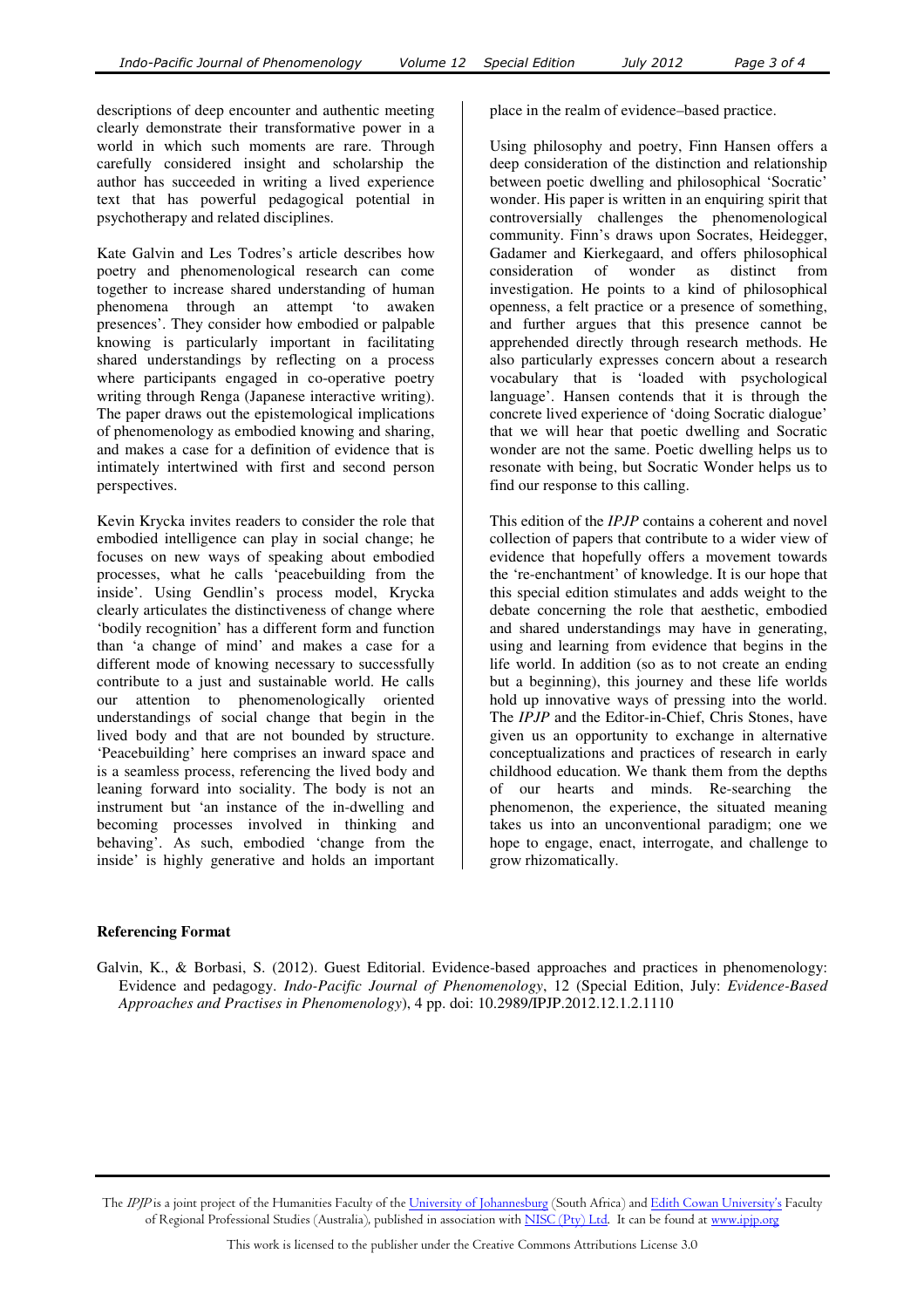descriptions of deep encounter and authentic meeting clearly demonstrate their transformative power in a world in which such moments are rare. Through carefully considered insight and scholarship the author has succeeded in writing a lived experience text that has powerful pedagogical potential in psychotherapy and related disciplines.

Kate Galvin and Les Todres's article describes how poetry and phenomenological research can come together to increase shared understanding of human phenomena through an attempt 'to awaken presences'. They consider how embodied or palpable knowing is particularly important in facilitating shared understandings by reflecting on a process where participants engaged in co-operative poetry writing through Renga (Japanese interactive writing). The paper draws out the epistemological implications of phenomenology as embodied knowing and sharing, and makes a case for a definition of evidence that is intimately intertwined with first and second person perspectives.

Kevin Krycka invites readers to consider the role that embodied intelligence can play in social change; he focuses on new ways of speaking about embodied processes, what he calls 'peacebuilding from the inside'. Using Gendlin's process model, Krycka clearly articulates the distinctiveness of change where 'bodily recognition' has a different form and function than 'a change of mind' and makes a case for a different mode of knowing necessary to successfully contribute to a just and sustainable world. He calls our attention to phenomenologically oriented understandings of social change that begin in the lived body and that are not bounded by structure. 'Peacebuilding' here comprises an inward space and is a seamless process, referencing the lived body and leaning forward into sociality. The body is not an instrument but 'an instance of the in-dwelling and becoming processes involved in thinking and behaving'. As such, embodied 'change from the inside' is highly generative and holds an important place in the realm of evidence–based practice.

Using philosophy and poetry, Finn Hansen offers a deep consideration of the distinction and relationship between poetic dwelling and philosophical 'Socratic' wonder. His paper is written in an enquiring spirit that controversially challenges the phenomenological community. Finn's draws upon Socrates, Heidegger, Gadamer and Kierkegaard, and offers philosophical<br>consideration of wonder as distinct from consideration of wonder as distinct investigation. He points to a kind of philosophical openness, a felt practice or a presence of something, and further argues that this presence cannot be apprehended directly through research methods. He also particularly expresses concern about a research vocabulary that is 'loaded with psychological language'. Hansen contends that it is through the concrete lived experience of 'doing Socratic dialogue' that we will hear that poetic dwelling and Socratic wonder are not the same. Poetic dwelling helps us to resonate with being, but Socratic Wonder helps us to find our response to this calling.

This edition of the *IPJP* contains a coherent and novel collection of papers that contribute to a wider view of evidence that hopefully offers a movement towards the 're-enchantment' of knowledge. It is our hope that this special edition stimulates and adds weight to the debate concerning the role that aesthetic, embodied and shared understandings may have in generating, using and learning from evidence that begins in the life world. In addition (so as to not create an ending but a beginning), this journey and these life worlds hold up innovative ways of pressing into the world. The *IPJP* and the Editor-in-Chief, Chris Stones, have given us an opportunity to exchange in alternative conceptualizations and practices of research in early childhood education. We thank them from the depths of our hearts and minds. Re-searching the phenomenon, the experience, the situated meaning takes us into an unconventional paradigm; one we hope to engage, enact, interrogate, and challenge to grow rhizomatically.

### **Referencing Format**

Galvin, K., & Borbasi, S. (2012). Guest Editorial. Evidence-based approaches and practices in phenomenology: Evidence and pedagogy. *Indo-Pacific Journal of Phenomenology*, 12 (Special Edition, July: *Evidence-Based Approaches and Practises in Phenomenology*), 4 pp. doi: 10.2989/IPJP.2012.12.1.2.1110

The *IPJP* is a joint project of the Humanities Faculty of the <u>University of Johannesburg</u> (South Africa) and <u>Edith Cowan University's</u> Faculty of Regional Professional Studies (Australia), published in association with <u>NISC (Pty) Ltd</u>. It can be found at <u>www.ipjp.org</u>